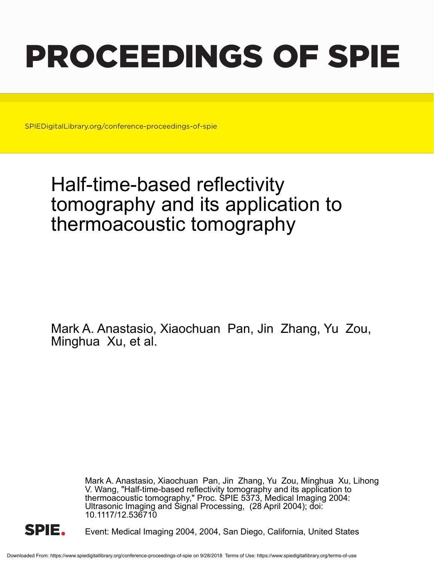# PROCEEDINGS OF SPIE

SPIEDigitalLibrary.org/conference-proceedings-of-spie

## Half-time-based reflectivity tomography and its application to thermoacoustic tomography

Mark A. Anastasio, Xiaochuan Pan, Jin Zhang, Yu Zou, Minghua Xu, et al.

> Mark A. Anastasio, Xiaochuan Pan, Jin Zhang, Yu Zou, Minghua Xu, Lihong V. Wang, "Half-time-based reflectivity tomography and its application to thermoacoustic tomography," Proc. SPIE 5373, Medical Imaging 2004: Ultrasonic Imaging and Signal Processing, (28 April 2004); doi: 10.1117/12.536710



Event: Medical Imaging 2004, 2004, San Diego, California, United States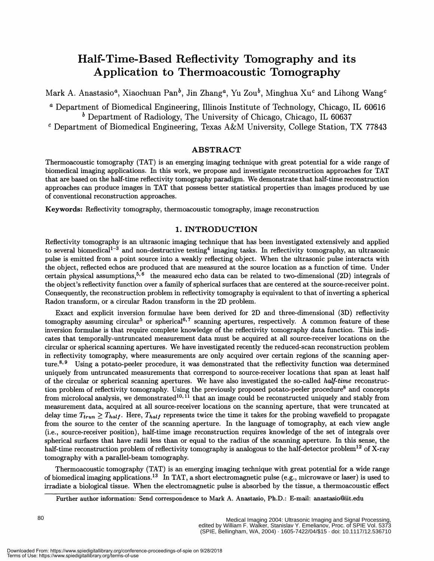### Half-Time-Based Reflectivity Tomography and its Application to Thermoacoustic Tomography

Mark A. Anastasio<sup>a</sup>, Xiaochuan Pan<sup>b</sup>, Jin Zhang<sup>a</sup>, Yu Zou<sup>b</sup>, Minghua Xu<sup>c</sup> and Lihong Wang<sup>c</sup>

a Department of Biomedical Engineering, Illinois Institute of Technology, Chicago, IL 60616  $<sup>b</sup>$  Department of Radiology, The University of Chicago, Chicago, IL 60637</sup>

 $c$  Department of Biomedical Engineering, Texas A&M University, College Station, TX 77843

#### ABSTRACT

Thermoacoustic tomography (TAT) is an emerging imaging technique with great potential for a wide range of biomedical imaging applications. In this work, we propose and investigate reconstruction approaches for TAT that are based on the half-time reflectivity tomography paradigm. We demonstrate that half-time reconstruction approaches can produce images in TAT that possess better statistical properties than images produced by use of conventional reconstruction approaches.

Keywords: Reflectivity tomography, thermoacoustic tomography, image reconstruction

#### 1. INTRODUCTION

Reflectivity tomography is an ultrasonic imaging technique that has been investigated extensively and applied to several biomedical<sup>1-3</sup> and non-destructive testing<sup>4</sup> imaging tasks. In reflectivity tomography, an ultrasonic pulse is emitted from a point source into a weakly reflecting object. When the ultrasonic pulse interacts with the object, reflected echos are produced that are measured at the source location as a function of time. Under certain physical assumptions,<sup>5,6</sup> the measured echo data can be related to two-dimensional (2D) integrals of the object's reflectivity function over a family of spherical surfaces that are centered at the source-receiver point. Consequently, the reconstruction problem in reflectivity tomography is equivalent to that of inverting a spherical Radon transform, or a circular Radon transform in the 2D problem.

Exact and explicit inversion formulae have been derived for 2D and three-dimensional (3D) reflectivity tomography assuming circular<sup>5</sup> or spherical<sup>6,7</sup> scanning apertures, respectively. A common feature of these inversion formulae is that require complete knowledge of the reflectivity tomography data function. This mdicates that temporally-untruncated measurement data must be acquired at all source-receiver locations on the circular or spherical scanning apertures. We have investigated recently the reduced-scan reconstruction problem in reflectivity tomography, where measurements are only acquired over certain regions of the scanning aperture.<sup>8,9</sup> Using a potato-peeler procedure, it was demonstrated that the reflectivity function was determined uniquely from untruncated measurements that correspond to source-receiver locations that span at least half of the circular or spherical scanning apertures. We have also investigated the so-called half-time reconstruction problem of reflectivity tomography. Using the previously proposed potato-peeler procedure<sup>8</sup> and concepts from microlocal analysis, we demonstrated<sup>10,11</sup> that an image could be reconstructed uniquely and stably from measurement data, acquired at all source-receiver locations on the scanning aperture, that were truncated at delay time  $T_{trun} \geq T_{half}$ . Here,  $T_{half}$  represents twice the time it takes for the probing wavefield to propagate from the source to the center of the scanning aperture. In the language of tomography, at each view angle ( i.e. , source-receiver position) , half-time image reconstruction requires knowledge of the set of integrals over spherical surfaces that have radii less than or equal to the radius of the scanning aperture. In this sense, the half-time reconstruction problem of reflectivity tomography is analogous to the half-detector problem<sup>12</sup> of X-ray tomography with a parallel-beam tomography.

Thermoacoustic tomography (TAT) is an emerging imaging technique with great potential for a wide range of biomedical imaging applications.<sup>13</sup> In TAT, a short electromagnetic pulse (e.g., microwave or laser) is used to irradiate a biological tissue. When the electromagnetic pulse is absorbed by the tissue, a thermoacoustic effect

Further author information: Send correspondence to Mark A. Anastasio, Ph.D.: E-mail: anastasio@iit.edu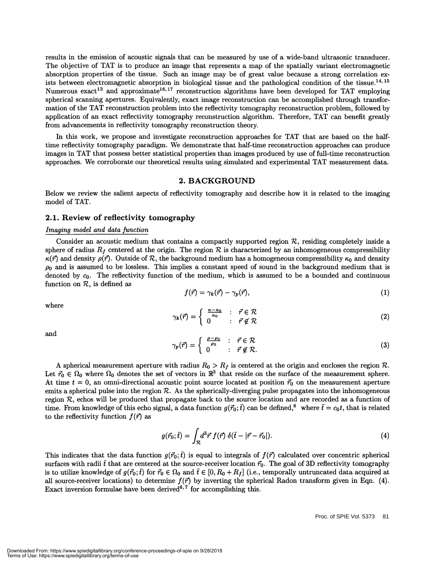results in the emission of acoustic signals that can be measured by use of a wide-band ultrasonic transducer. The objective of TAT is to produce an image that represents a map of the spatially variant electromagnetic absorption properties of the tissue. Such an image may be of great value because a strong correlation exists between electromagnetic absorption in biological tissue and the pathological condition of the tissue.<sup>14, 15</sup> Numerous exact<sup>13</sup> and approximate<sup>16,17</sup> reconstruction algorithms have been developed for TAT employing spherical scanning apertures. Equivalently, exact image reconstruction can be accomplished through transformation of the TAT reconstruction problem into the reflectivity tomography reconstruction problem, followed by application of an exact reflectivity tomography reconstruction algorithm. Therefore, TAT can benefit greatly from advancements in reflectivity tomography reconstruction theory.

In this work, we propose and investigate reconstruction approaches for TAT that are based on the halftime reflectivity tomography paradigm. We demonstrate that half-time reconstruction approaches can produce images in TAT that possess better statistical properties than images produced by use of full-time reconstruction approaches. We corroborate our theoretical results using simulated and experimental TAT measurement data.

#### 2. BACKGROUND

Below we review the salient aspects of reflectivity tomography and describe how it is related to the imaging model of TAT.

#### 2.1. Review of reflectivity tomography

#### Imaging model and data function

Consider an acoustic medium that contains a compactly supported region  $R$ , residing completely inside a sphere of radius  $R_f$  centered at the origin. The region  $R$  is characterized by an inhomogeneous compressibility  $\kappa(\vec{r})$  and density  $\rho(\vec{r})$ . Outside of R, the background medium has a homogeneous compressibility  $\kappa_0$  and density  $\rho_0$  and is assumed to be lossless. This implies a constant speed of sound in the background medium that is denoted by  $c_0$ . The reflectivity function of the medium, which is assumed to be a bounded and continuous function on R, is defined as  $f(\vec{r}) = \gamma_k(\vec{r}) - \gamma_p(\vec{r}),$  (1)

$$
f(\vec{r}) = \gamma_k(\vec{r}) - \gamma_p(\vec{r}), \qquad (1)
$$

where

$$
\gamma_k(\vec{r}) = \begin{cases} \frac{\kappa - \kappa_0}{\kappa_0} & \colon \vec{r} \in \mathcal{R} \\ 0 & \colon \vec{r} \notin \mathcal{R} \end{cases}
$$
 (2)

and  
\n
$$
\gamma_p(\vec{r}) = \begin{cases}\n\frac{\rho - \rho_0}{\rho_0} & \colon \vec{r} \in \mathcal{R} \\
0 & \colon \vec{r} \notin \mathcal{R}.\n\end{cases}
$$
\n(3)

A spherical measurement aperture with radius  $R_0 > R_f$  is centered at the origin and encloses the region R. Let  $\vec{r}_0 \in \Omega_0$  where  $\Omega_0$  denotes the set of vectors in  $\mathbb{R}^3$  that reside on the surface of the measurement sphere. At time  $t = 0$ , an omni-directional acoustic point source located at position  $\vec{r}_0$  on the measurement aperture emits a spherical pulse into the region  $R$ . As the spherically-diverging pulse propagates into the inhomogeneous region  $R$ , echos will be produced that propagate back to the source location and are recorded as a function of time. From knowledge of this echo signal, a data function  $g(\vec{r}_0; \vec{t})$  can be defined,<sup>6</sup> where  $\vec{t} = c_0 t$ , that is related to the reflectivity function  $f(\vec{r})$  as

$$
g(\vec{r}_0;\bar{t}) = \int_{\mathcal{R}} d^3\vec{r} f(\vec{r}) \ \delta(\bar{t} - |\vec{r} - \vec{r}_0|). \tag{4}
$$

This indicates that the data function  $g(\vec{r}_0; \vec{t})$  is equal to integrals of  $f(\vec{r})$  calculated over concentric spherical surfaces with radii  $\bar{t}$  that are centered at the source-receiver location  $\vec{r}_0$ . The goal of 3D reflectivity tomography is to utilize knowledge of  $g(\vec{r}_0;\vec{t})$  for  $\vec{r}_0 \in \Omega_0$  and  $\vec{t} \in [0, R_0 + R_f]$  (i.e., temporally untruncated data acquired at all source-receiver locations) to determine  $f(\vec{r})$  by inverting the spherical Radon transform given in Eqn. (4). Exact inversion formulae have been derived<sup>6,7</sup> for accomplishing this.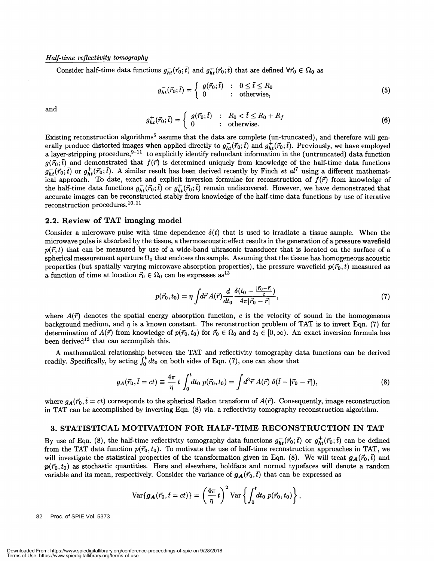#### Half-time reflectivity tomography

Consider half-time data functions  $g_{ht}^-(\vec{r}_0; \vec{t})$  and  $g_{ht}^+(\vec{r}_0; \vec{t})$  that are defined  $\forall \vec{r}_0 \in \Omega_0$  as

$$
g_{ht}^-(\vec{r}_0; \bar{t}) = \begin{cases} g(\vec{r}_0; \bar{t}) & : \quad 0 \le \bar{t} \le R_0 \\ 0 & : \quad \text{otherwise,} \end{cases} \tag{5}
$$

$$
\quad\text{and}\quad
$$

and  
\n
$$
g_{ht}^+(\vec{r}_0;\vec{t}) = \begin{cases}\ng(\vec{r}_0;\vec{t}) & \colon R_0 < \vec{t} \le R_0 + R_f \\
0 & \colon \text{otherwise.}\n\end{cases}
$$
\n(6)

Existing reconstruction algorithms<sup>5</sup> assume that the data are complete (un-truncated), and therefore will generally produce distorted images when applied directly to  $g_{ht}^-(\vec{r}_0;\vec{t})$  and  $g_{ht}^+(\vec{r}_0;\vec{t})$ . Previously, we have employed a layer-stripping procedure,<sup>9-11</sup> to explicitly identify redundant information in the (untruncated) data function  $g(\vec{r}_0; t)$  and demonstrated that  $f(\vec{r})$  is determined uniquely from knowledge of the half-time data fu  $g_{ht}^-(\vec{r}_0;\vec{t})$  or  $g_{ht}^+(\vec{r}_0;\vec{t})$ . A similar result has been derived recently by Finch *et al*<sup>7</sup> using a different mathematical approach. To date, exact and explicit inversion formulae for reconstruction of  $f(\vec{r})$  from knowledge of the half-time data functions  $g_{ht}^-(\vec{r}_0;\vec{t})$  or  $g_{ht}^+(\vec{r}_0;\vec{t})$  remain undiscovered. However, we have demonstrated that accurate images can be reconstructed stably from knowledge of the half-time data functions by use of iterative reconstruction procedures.<sup>10, 11</sup>

#### 2.2. Review of TAT imaging model

Consider a microwave pulse with time dependence  $\delta(t)$  that is used to irradiate a tissue sample. When the microwave pulse is absorbed by the tissue, a thermoacoustic effect results in the generation of a pressure wavefield  $p(\vec{r}, t)$  that can be measured by use of a wide-band ultrasonic transducer that is located on the surface of a spherical measurement aperture  $\Omega_0$  that encloses the sample. Assuming that the tissue has homogeneous acoustic properties (but spatially varying microwave absorption properties), the pressure wavefield  $p(\vec{r}_0, t)$  measured as a function of time at location  $\vec{r}_0 \in \Omega_0$  can be expresses as<sup>13</sup>

$$
p(\vec{r}_0, t_0) = \eta \int d\vec{r} A(\vec{r}) \frac{d}{dt_0} \frac{\delta(t_0 - \frac{|\vec{r}_0 - \vec{r}|}{c})}{4\pi |\vec{r}_0 - \vec{r}|},
$$
(7)

where  $A(\vec{r})$  denotes the spatial energy absorption function, c is the velocity of sound in the homogeneous background medium, and  $\eta$  is a known constant. The reconstruction problem of TAT is to invert Eqn. (7) for determination of  $A(\vec{r})$  from knowledge of  $p(\vec{r}_0, t_0)$  for  $\vec{r}_0 \in \Omega_0$  and  $t_0 \in [0, \infty)$ . An exact inversion formula has been derived<sup>13</sup> that can accomplish this.

A mathematical relationship between the TAT and reflectivity tomography data functions can be derived readily. Specifically, by acting  $\int_0^t dt_0$  on both sides of Eqn. (7), one can show that

$$
g_A(\vec{r}_0, \bar{t} = ct) \equiv \frac{4\pi}{\eta} t \int_0^t dt_0 \ p(\vec{r}_0, t_0) = \int d^3 \vec{r} \ A(\vec{r}) \ \delta(\bar{t} - |\vec{r}_0 - \vec{r}|), \tag{8}
$$

where  $g_A(\vec{r}_0, \vec{t}=ct)$  corresponds to the spherical Radon transform of  $A(\vec{r})$ . Consequently, image reconstruction in TAT can be accomplished by inverting Eqn. (8) via. a reflectivity tomography reconstruction algorithm.

#### 3. STATISTICAL MOTIVATION FOR HALF-TIME RECONSTRUCTION IN TAT

By use of Eqn. (8), the half-time reflectivity tomography data functions  $g_{ht}^-(\vec{r}_0;\vec{t})$  or  $g_{ht}^+(\vec{r}_0;\vec{t})$  can be defined from the TAT data function  $p(\vec{r}_0, t_0)$ . To motivate the use of half-time reconstruction approaches in TAT, we will investigate the statistical properties of the transformation given in Eqn. (8). We will treat  $g_A(\vec{r}_0, \vec{t})$  and  $p(\vec{r}_0, t_0)$  as stochastic quantities. Here and elsewhere, boldface and normal typefaces will denote a random variable and its mean, respectively. Consider the variance of  $g_A(\vec{r}_0, \vec{t})$  that can be expressed as

$$
\text{Var}\{\boldsymbol{g}_{\boldsymbol{A}}(\vec{r}_0,\bar{t}=ct)\}=\left(\frac{4\pi}{\eta}\,t\right)^2\text{Var}\left\{\int_0^t\!\!dt_0\;p(\vec{r}_0,t_0)\right\},
$$

82 Proc. of SPIE Vol. 5373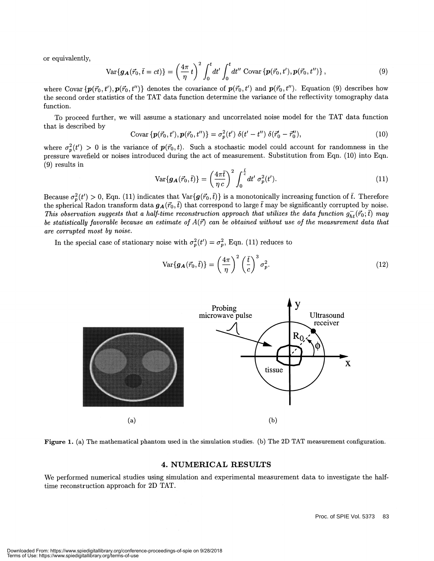or equivalently,

or equivalently,  
\n
$$
\text{Var}\{\boldsymbol{g}_{\mathbf{A}}(\vec{r}_{0},\bar{t}=ct)\} = \left(\frac{4\pi}{\eta}t\right)^{2} \int_{0}^{t} dt' \int_{0}^{t} dt'' \text{Covar}\{\boldsymbol{p}(\vec{r}_{0},t'), \boldsymbol{p}(\vec{r}_{0},t'')\},
$$
\nwhere Covar $\{\boldsymbol{p}(\vec{r}_{0},t'), \boldsymbol{p}(\vec{r}_{0},t'')\}$  denotes the covariance of  $\boldsymbol{p}(\vec{r}_{0},t')$  and  $\boldsymbol{p}(\vec{r}_{0},t'')$ . Equation (9) describes how

the second order statistics of the TAT data function determine the variance of the reflectivity tomography data function.

To proceed further, we will assume a stationary and uncorrelated noise model for the TAT data function that is described by

Covar 
$$
\{p(\vec{r}_0, t'), p(\vec{r}_0, t'')\} = \sigma_p^2(t') \delta(t' - t'') \delta(\vec{r}'_0 - \vec{r}''_0),
$$
 (10)

where  $\sigma_p^2(t') > 0$  is the variance of  $p(\vec{r}_0, t)$ . Such a stochastic model could account for randomness in the pressure wavefleld or noises introduced during the act of measurement. Substitution from Eqn. (10) into Eqn.  $(9)$  results in

$$
\text{Var}\{\boldsymbol{g}_{\boldsymbol{A}}(\vec{r}_0,\bar{t})\} = \left(\frac{4\pi\bar{t}}{\eta\,c}\right)^2 \int_0^{\frac{\bar{t}}{c}} dt' \,\sigma_p^2(t'). \tag{11}
$$

Because  $\sigma_p^2(t') > 0$ , Eqn. (11) indicates that  $\text{Var}\{g(\vec{r_0}, \vec{t})\}$  is a monotonically increasing function of  $\vec{t}$ . Therefore the spherical Radon transform data  $g_A(\vec{r}_0,\bar{t})$  that correspond to large  $\bar{t}$  may be significantly corrupted by noise. This observation suggests that a half-time reconstruction approach that utilizes the data function  $g_{ht}^-(\vec{r}_0;\vec{t})$  may be statistically favorable because an estimate of  $A(\vec{r})$  can be obtained without use of the measurement data that are corrupted most by noise.

In the special case of stationary noise with  $\sigma_p^2(t') = \sigma_p^2$ , Eqn. (11) reduces to

$$
\text{Var}\{\boldsymbol{g}_{\boldsymbol{A}}(\vec{r}_0,\bar{t})\} = \left(\frac{4\pi}{\eta}\right)^2 \left(\frac{\bar{t}}{c}\right)^3 \sigma_p^2. \tag{12}
$$





#### 4. NUMERICAL RESULTS

We performed numerical studies using simulation and experimental measurement data to investigate the halftime reconstruction approach for 2D TAT.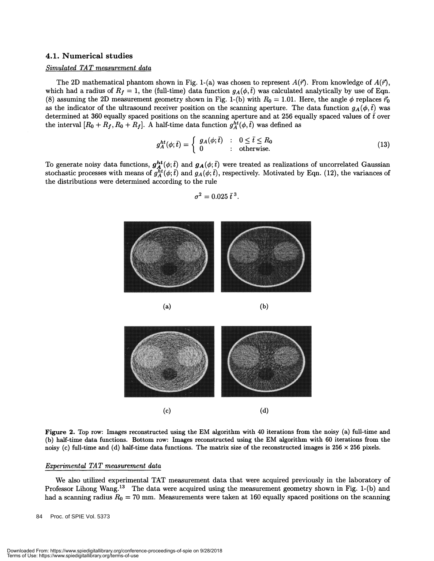#### 4.1. Numerical studies

#### Simulated TAT measurement data

The 2D mathematical phantom shown in Fig. 1-(a) was chosen to represent  $A(\vec{r})$ . From knowledge of  $A(\vec{r})$ , which had a radius of  $R_f = 1$ , the (full-time) data function  $g_A(\phi, \bar{t})$  was calculated analytically by use of Eqn. (8) assuming the 2D measurement geometry shown in Fig. 1-(b) with  $R_0 = 1.01$ . Here, the angle  $\phi$  replaces  $\vec{r}_0$ as the indicator of the ultrasound receiver position on the scanning aperture. The data function  $g_A(\phi, \bar{t})$  was determined at 360 equally spaced positions on the scanning aperture and at 256 equally spaced values of  $\bar{t}$  over the interval  $[R_0 + R_f, R_0 + R_f]$ . A half-time data function  $g_A^{ht}(\phi, \bar{t})$  was defined as

$$
g_A^{ht}(\phi; \bar{t}) = \begin{cases} g_A(\phi; \bar{t}) & : & 0 \le \bar{t} \le R_0 \\ 0 & : & \text{otherwise.} \end{cases} \tag{13}
$$

To generate noisy data functions,  $g_A^{ht}(\phi;\bar t)$  and  $g_A(\phi;\bar t)$  were treated as realizations of uncorrelated Gaussian stochastic processes with means of  $g_A^{ht}(\phi; \bar{t})$  and  $g_A(\phi; \bar{t})$ , respectively. Motivated by Eqn. (12), the variances of the distributions were determined according to the rule  $\sigma^2 = 0.025 \bar{t}^3$ . the distributions were determined according to the rule

$$
\sigma^2=0.025\,\bar t^{\,3}
$$





Figure 2. Top row: Images reconstructed using the EM algorithm with 40 iterations from the noisy (a) full-time and (b) half-time data functions. Bottom row: Images reconstructed using the EM algorithm with 60 iterations from the noisy (c) full-time and (d) half-time data functions. The matrix size of the reconstructed images is  $256 \times 256$  pixels.

#### Experimental TAT measurement data

We also utilized experimental TAT measurement data that were acquired previously in the laboratory of Professor Lihong Wang.<sup>13</sup> The data were acquired using the measurement geometry shown in Fig. 1-(b) and had a scanning radius  $R_0 = 70$  mm. Measurements were taken at 160 equally spaced positions on the scanning

84 Proc. of SPIE Vol. 5373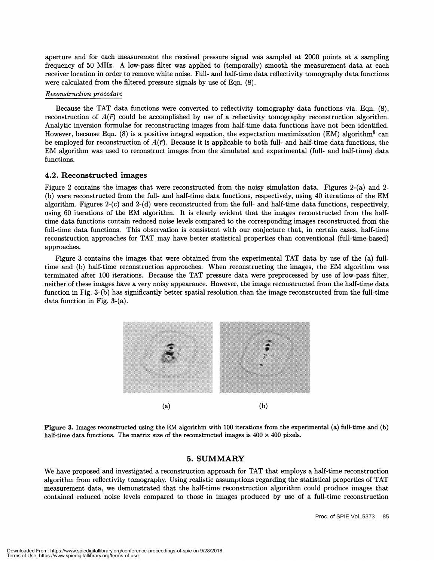aperture and for each measurement the received pressure signal was sampled at 2000 points at a sampling frequency of 50 MHz. A low-pass filter was applied to (temporally) smooth the measurement data at each receiver location in order to remove white noise. Full- and half-time data reflectivity tomography data functions were calculated from the filtered pressure signals by use of Eqn. (8).

#### Reconstruction procedure

Because the TAT data functions were converted to reflectivity tomography data functions via. Eqn. (8), reconstruction of  $A(\vec{r})$  could be accomplished by use of a reflectivity tomography reconstruction algorithm. Analytic inversion formulae for reconstructing images from half-time data functions have not been identified. However, because Eqn. (8) is a positive integral equation, the expectation maximization (EM) algorithm<sup>8</sup> can be employed for reconstruction of  $A(\vec{r})$ . Because it is applicable to both full- and half-time data functions, the EM algorithm was used to reconstruct images from the simulated and experimental (full- and half-time) data functions.

#### 4.2. Reconstructed images

Figure 2 contains the images that were reconstructed from the noisy simulation data. Figures 2-(a) and 2- (b) were reconstructed from the full- and half-time data functions, respectively, using 40 iterations of the EM algorithm. Figures 2-(c) and 2-(d) were reconstructed from the full- and half-time data functions, respectively, using 60 iterations of the EM algorithm. It is clearly evident that the images reconstructed from the halftime data functions contain reduced noise levels compared to the corresponding images reconstructed from the full-time data functions. This observation is consistent with our conjecture that, in certain cases, half-time reconstruction approaches for TAT may have better statistical properties than conventional (full-time-based) approaches.

Figure 3 contains the images that were obtained from the experimental TAT data by use of the (a) fulltime and (b) half-time reconstruction approaches. When reconstructing the images, the EM algorithm was terminated after 100 iterations. Because the TAT pressure data were preprocessed by use of low-pass filter, neither of these images have a very noisy appearance. However, the image reconstructed from the half-time data function in Fig. 3-(b) has significantly better spatial resolution than the image reconstructed from the full-time data function in Fig. 3-(a).





#### 5. SUMMARY

We have proposed and investigated a reconstruction approach for TAT that employs a half-time reconstruction algorithm from reflectivity tomography. Using realistic assumptions regarding the statistical properties of TAT measurement data, we demonstrated that the half-time reconstruction algorithm could produce images that contained reduced noise levels compared to those in images produced by use of a full-time reconstruction